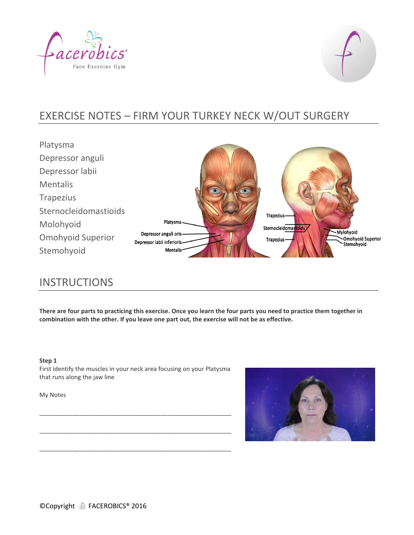



# EXERCISE NOTES – FIRM YOUR TURKEY NECK W/OUT SURGERY

Platysma Depressor anguli Depressor labii Mentalis Trapezius Sternocleidomastioids Trapezius-Platysma. Molohyoid Sternocleidomastoids **Mylohyoid** Depressor anguli oris-Omohyoid Superior , . . . , . . .<br>~Omohyoid Superior<br>`Stemohyoid Trapezius-Depressor labii inferioris Stemohyoid Mentalis<sup>®</sup>

# **INSTRUCTIONS**

**There are four parts to practicing this exercise. Once you learn the four parts you need to practice them together in combination with the other. If you leave one part out, the exercise will not be as effective.**

### **Step 1**

First identify the muscles in your neck area focusing on your Platysma that runs along the jaw line

\_\_\_\_\_\_\_\_\_\_\_\_\_\_\_\_\_\_\_\_\_\_\_\_\_\_\_\_\_\_\_\_\_\_\_\_\_\_\_\_\_\_\_\_\_\_\_\_\_\_\_\_\_\_\_\_\_

\_\_\_\_\_\_\_\_\_\_\_\_\_\_\_\_\_\_\_\_\_\_\_\_\_\_\_\_\_\_\_\_\_\_\_\_\_\_\_\_\_\_\_\_\_\_\_\_\_\_\_\_\_\_\_\_\_

\_\_\_\_\_\_\_\_\_\_\_\_\_\_\_\_\_\_\_\_\_\_\_\_\_\_\_\_\_\_\_\_\_\_\_\_\_\_\_\_\_\_\_\_\_\_\_\_\_\_\_\_\_\_\_\_\_

My Notes

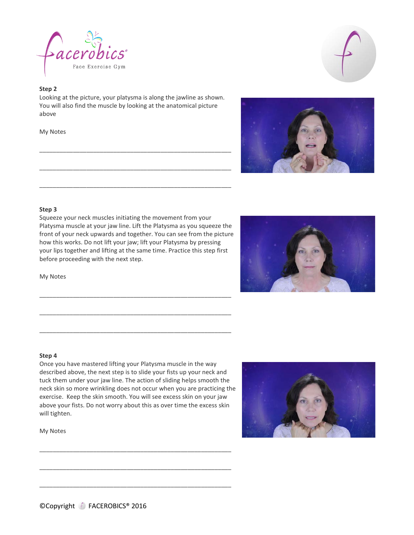

## **Step 2**

Looking at the picture, your platysma is along the jawline as shown. You will also find the muscle by looking at the anatomical picture above

\_\_\_\_\_\_\_\_\_\_\_\_\_\_\_\_\_\_\_\_\_\_\_\_\_\_\_\_\_\_\_\_\_\_\_\_\_\_\_\_\_\_\_\_\_\_\_\_\_\_\_\_\_\_\_\_\_

\_\_\_\_\_\_\_\_\_\_\_\_\_\_\_\_\_\_\_\_\_\_\_\_\_\_\_\_\_\_\_\_\_\_\_\_\_\_\_\_\_\_\_\_\_\_\_\_\_\_\_\_\_\_\_\_\_

\_\_\_\_\_\_\_\_\_\_\_\_\_\_\_\_\_\_\_\_\_\_\_\_\_\_\_\_\_\_\_\_\_\_\_\_\_\_\_\_\_\_\_\_\_\_\_\_\_\_\_\_\_\_\_\_\_

My Notes





### **Step 3**

Squeeze your neck muscles initiating the movement from your Platysma muscle at your jaw line. Lift the Platysma as you squeeze the front of your neck upwards and together. You can see from the picture how this works. Do not lift your jaw; lift your Platysma by pressing your lips together and lifting at the same time. Practice this step first before proceeding with the next step.

\_\_\_\_\_\_\_\_\_\_\_\_\_\_\_\_\_\_\_\_\_\_\_\_\_\_\_\_\_\_\_\_\_\_\_\_\_\_\_\_\_\_\_\_\_\_\_\_\_\_\_\_\_\_\_\_\_

\_\_\_\_\_\_\_\_\_\_\_\_\_\_\_\_\_\_\_\_\_\_\_\_\_\_\_\_\_\_\_\_\_\_\_\_\_\_\_\_\_\_\_\_\_\_\_\_\_\_\_\_\_\_\_\_\_

\_\_\_\_\_\_\_\_\_\_\_\_\_\_\_\_\_\_\_\_\_\_\_\_\_\_\_\_\_\_\_\_\_\_\_\_\_\_\_\_\_\_\_\_\_\_\_\_\_\_\_\_\_\_\_\_\_

My Notes



#### **Step 4**

Once you have mastered lifting your Platysma muscle in the way described above, the next step is to slide your fists up your neck and tuck them under your jaw line. The action of sliding helps smooth the neck skin so more wrinkling does not occur when you are practicing the exercise. Keep the skin smooth. You will see excess skin on your jaw above your fists. Do not worry about this as over time the excess skin will tighten.

\_\_\_\_\_\_\_\_\_\_\_\_\_\_\_\_\_\_\_\_\_\_\_\_\_\_\_\_\_\_\_\_\_\_\_\_\_\_\_\_\_\_\_\_\_\_\_\_\_\_\_\_\_\_\_\_\_

\_\_\_\_\_\_\_\_\_\_\_\_\_\_\_\_\_\_\_\_\_\_\_\_\_\_\_\_\_\_\_\_\_\_\_\_\_\_\_\_\_\_\_\_\_\_\_\_\_\_\_\_\_\_\_\_\_

\_\_\_\_\_\_\_\_\_\_\_\_\_\_\_\_\_\_\_\_\_\_\_\_\_\_\_\_\_\_\_\_\_\_\_\_\_\_\_\_\_\_\_\_\_\_\_\_\_\_\_\_\_\_\_\_\_



My Notes